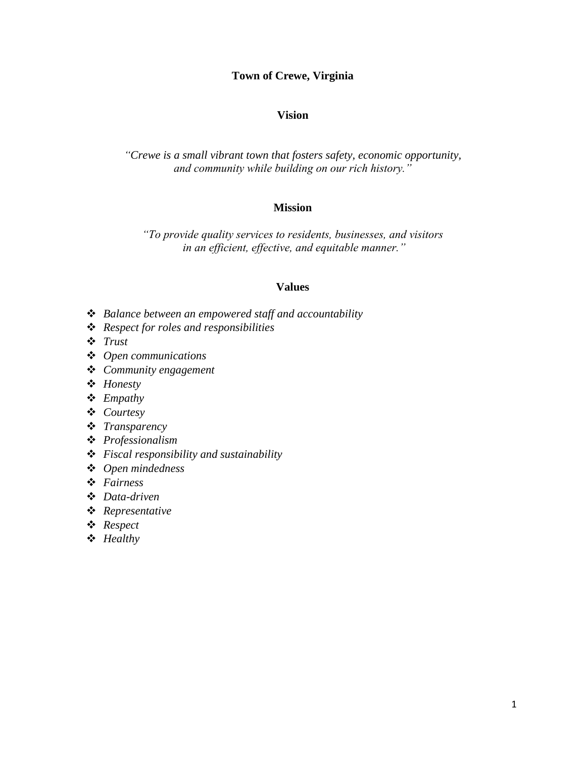# **Town of Crewe, Virginia**

### **Vision**

*"Crewe is a small vibrant town that fosters safety, economic opportunity, and community while building on our rich history."*

#### **Mission**

*"To provide quality services to residents, businesses, and visitors in an efficient, effective, and equitable manner."*

#### **Values**

- ❖ *Balance between an empowered staff and accountability*
- ❖ *Respect for roles and responsibilities*
- ❖ *Trust*
- ❖ *Open communications*
- ❖ *Community engagement*
- ❖ *Honesty*
- ❖ *Empathy*
- ❖ *Courtesy*
- ❖ *Transparency*
- ❖ *Professionalism*
- ❖ *Fiscal responsibility and sustainability*
- ❖ *Open mindedness*
- ❖ *Fairness*
- ❖ *Data-driven*
- ❖ *Representative*
- ❖ *Respect*
- ❖ *Healthy*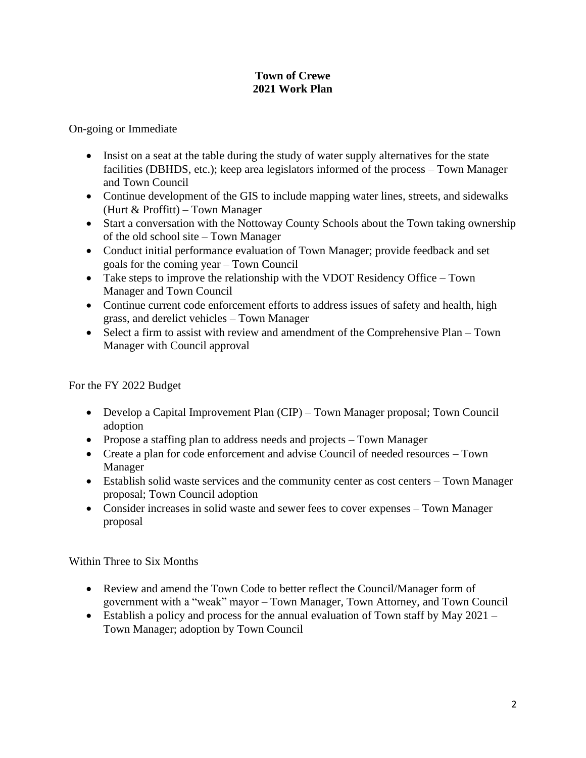# **Town of Crewe 2021 Work Plan**

On-going or Immediate

- Insist on a seat at the table during the study of water supply alternatives for the state facilities (DBHDS, etc.); keep area legislators informed of the process – Town Manager and Town Council
- Continue development of the GIS to include mapping water lines, streets, and sidewalks (Hurt & Proffitt) – Town Manager
- Start a conversation with the Nottoway County Schools about the Town taking ownership of the old school site – Town Manager
- Conduct initial performance evaluation of Town Manager; provide feedback and set goals for the coming year – Town Council
- Take steps to improve the relationship with the VDOT Residency Office Town Manager and Town Council
- Continue current code enforcement efforts to address issues of safety and health, high grass, and derelict vehicles – Town Manager
- Select a firm to assist with review and amendment of the Comprehensive Plan Town Manager with Council approval

For the FY 2022 Budget

- Develop a Capital Improvement Plan (CIP) Town Manager proposal; Town Council adoption
- Propose a staffing plan to address needs and projects Town Manager
- Create a plan for code enforcement and advise Council of needed resources Town Manager
- Establish solid waste services and the community center as cost centers Town Manager proposal; Town Council adoption
- Consider increases in solid waste and sewer fees to cover expenses Town Manager proposal

Within Three to Six Months

- Review and amend the Town Code to better reflect the Council/Manager form of government with a "weak" mayor – Town Manager, Town Attorney, and Town Council
- Establish a policy and process for the annual evaluation of Town staff by May 2021 Town Manager; adoption by Town Council